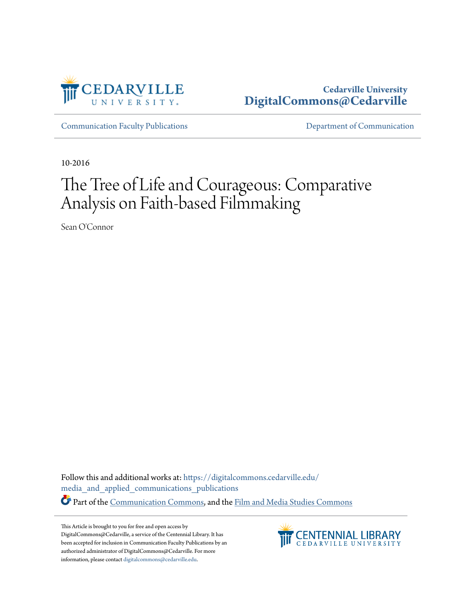

### **Cedarville University [DigitalCommons@Cedarville](https://digitalcommons.cedarville.edu?utm_source=digitalcommons.cedarville.edu%2Fmedia_and_applied_communications_publications%2F75&utm_medium=PDF&utm_campaign=PDFCoverPages)**

[Communication Faculty Publications](https://digitalcommons.cedarville.edu/media_and_applied_communications_publications?utm_source=digitalcommons.cedarville.edu%2Fmedia_and_applied_communications_publications%2F75&utm_medium=PDF&utm_campaign=PDFCoverPages) [Department of Communication](https://digitalcommons.cedarville.edu/media_and_applied_communications?utm_source=digitalcommons.cedarville.edu%2Fmedia_and_applied_communications_publications%2F75&utm_medium=PDF&utm_campaign=PDFCoverPages)

10-2016

# The Tree of Life and Courageous: Comparative Analysis on Faith-based Filmmaking

Sean O'Connor

Follow this and additional works at: [https://digitalcommons.cedarville.edu/](https://digitalcommons.cedarville.edu/media_and_applied_communications_publications?utm_source=digitalcommons.cedarville.edu%2Fmedia_and_applied_communications_publications%2F75&utm_medium=PDF&utm_campaign=PDFCoverPages) media and applied communications publications

Part of the [Communication Commons](http://network.bepress.com/hgg/discipline/325?utm_source=digitalcommons.cedarville.edu%2Fmedia_and_applied_communications_publications%2F75&utm_medium=PDF&utm_campaign=PDFCoverPages), and the [Film and Media Studies Commons](http://network.bepress.com/hgg/discipline/563?utm_source=digitalcommons.cedarville.edu%2Fmedia_and_applied_communications_publications%2F75&utm_medium=PDF&utm_campaign=PDFCoverPages)

This Article is brought to you for free and open access by DigitalCommons@Cedarville, a service of the Centennial Library. It has been accepted for inclusion in Communication Faculty Publications by an authorized administrator of DigitalCommons@Cedarville. For more information, please contact [digitalcommons@cedarville.edu.](mailto:digitalcommons@cedarville.edu)

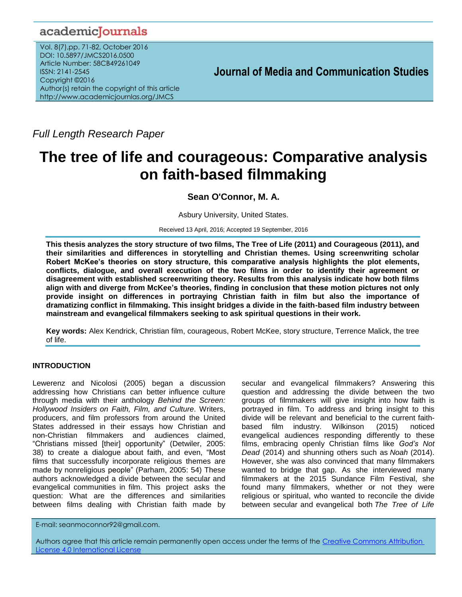## academicJournals

Vol. 8(7),pp. 71-82, October 2016 DOI: 10.5897/JMCS2016.0500 Article Number: 58CB49261049 ISSN: 2141-2545 Copyright ©2016 Author(s) retain the copyright of this article http://www.academicjournlas.org/JMCS

**Journal of Media and Communication Studies**

*Full Length Research Paper*

## **The tree of life and courageous: Comparative analysis on faith-based filmmaking**

#### **Sean O'Connor, M. A.**

Asbury University, United States.

Received 13 April, 2016; Accepted 19 September, 2016

**This thesis analyzes the story structure of two films, The Tree of Life (2011) and Courageous (2011), and their similarities and differences in storytelling and Christian themes. Using screenwriting scholar Robert McKee's theories on story structure, this comparative analysis highlights the plot elements, conflicts, dialogue, and overall execution of the two films in order to identify their agreement or disagreement with established screenwriting theory. Results from this analysis indicate how both films align with and diverge from McKee's theories, finding in conclusion that these motion pictures not only provide insight on differences in portraying Christian faith in film but also the importance of dramatizing conflict in filmmaking. This insight bridges a divide in the faith-based film industry between mainstream and evangelical filmmakers seeking to ask spiritual questions in their work.**

**Key words:** Alex Kendrick, Christian film, courageous, Robert McKee, story structure, Terrence Malick, the tree of life.

#### **INTRODUCTION**

Lewerenz and Nicolosi (2005) began a discussion addressing how Christians can better influence culture through media with their anthology *Behind the Screen: Hollywood Insiders on Faith, Film, and Culture*. Writers, producers, and film professors from around the United States addressed in their essays how Christian and non-Christian filmmakers and audiences claimed, "Christians missed [their] opportunity" (Detwiler, 2005: 38) to create a dialogue about faith, and even, "Most films that successfully incorporate religious themes are made by nonreligious people" (Parham, 2005: 54) These authors acknowledged a divide between the secular and evangelical communities in film. This project asks the question: What are the differences and similarities between films dealing with Christian faith made by

secular and evangelical filmmakers? Answering this question and addressing the divide between the two groups of filmmakers will give insight into how faith is portrayed in film. To address and bring insight to this divide will be relevant and beneficial to the current faithbased film industry. Wilkinson (2015) noticed evangelical audiences responding differently to these films, embracing openly Christian films like *God's Not Dead* (2014) and shunning others such as *Noah* (2014). However, she was also convinced that many filmmakers wanted to bridge that gap. As she interviewed many filmmakers at the 2015 Sundance Film Festival, she found many filmmakers, whether or not they were religious or spiritual, who wanted to reconcile the divide between secular and evangelical both *The Tree of Life*

E-mail: seanmoconnor92@gmail.com.

Authors agree that this article remain permanently open access under the terms of the [Creative Commons Attribution](file://192.168.1.24/reading/Arts%20and%20Education/ERR/2014/sept/read/Correction%20Pdf%201/ERR-17.04.14-1816/Publication/Creative%20Co)  [License 4.0 International License](file://192.168.1.24/reading/Arts%20and%20Education/ERR/2014/sept/read/Correction%20Pdf%201/ERR-17.04.14-1816/Publication/Creative%20Co)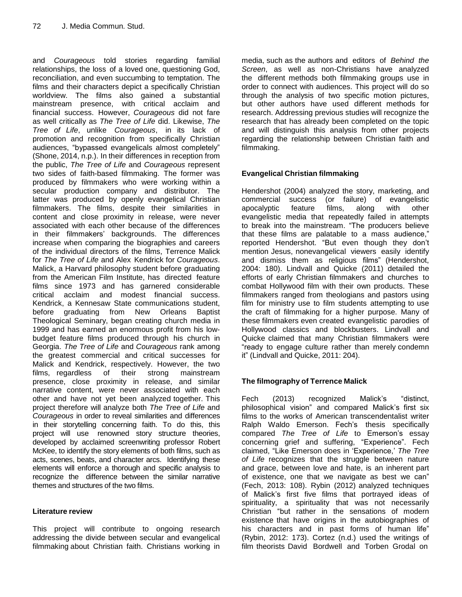and *Courageous* told stories regarding familial relationships, the loss of a loved one, questioning God, reconciliation, and even succumbing to temptation. The films and their characters depict a specifically Christian worldview. The films also gained a substantial mainstream presence, with critical acclaim and financial success. However, *Courageous* did not fare as well critically as *The Tree of Life* did. Likewise, *The Tree of Life*, unlike *Courageous*, in its lack of promotion and recognition from specifically Christian audiences, "bypassed evangelicals almost completely" (Shone, 2014, n.p.). In their differences in reception from the public, *The Tree of Life* and *Courageous* represent two sides of faith-based filmmaking. The former was produced by filmmakers who were working within a secular production company and distributor. The latter was produced by openly evangelical Christian filmmakers. The films, despite their similarities in content and close proximity in release, were never associated with each other because of the differences in their filmmakers" backgrounds. The differences increase when comparing the biographies and careers of the individual directors of the films, Terrence Malick for *The Tree of Life* and Alex Kendrick for *Courageous*. Malick, a Harvard philosophy student before graduating from the American Film Institute, has directed feature films since 1973 and has garnered considerable critical acclaim and modest financial success. Kendrick, a Kennesaw State communications student, before graduating from New Orleans Baptist Theological Seminary, began creating church media in 1999 and has earned an enormous profit from his lowbudget feature films produced through his church in Georgia. *The Tree of Life* and *Courageous* rank among the greatest commercial and critical successes for Malick and Kendrick, respectively. However, the two films, regardless of their strong mainstream presence, close proximity in release, and similar narrative content, were never associated with each other and have not yet been analyzed together. This project therefore will analyze both *The Tree of Life* and *Courageous* in order to reveal similarities and differences in their storytelling concerning faith. To do this, this project will use renowned story structure theories, developed by acclaimed screenwriting professor Robert McKee, to identify the story elements of both films, such as acts, scenes, beats, and character arcs. Identifying these elements will enforce a thorough and specific analysis to recognize the difference between the similar narrative themes and structures of the two films.

#### **Literature review**

This project will contribute to ongoing research addressing the divide between secular and evangelical filmmaking about Christian faith. Christians working in

media, such as the authors and editors of *Behind the Screen*, as well as non-Christians have analyzed the different methods both filmmaking groups use in order to connect with audiences. This project will do so through the analysis of two specific motion pictures, but other authors have used different methods for research. Addressing previous studies will recognize the research that has already been completed on the topic and will distinguish this analysis from other projects regarding the relationship between Christian faith and filmmaking.

#### **Evangelical Christian filmmaking**

Hendershot (2004) analyzed the story, marketing, and commercial success (or failure) of evangelistic apocalyptic feature films, along with other evangelistic media that repeatedly failed in attempts to break into the mainstream. "The producers believe that these films are palatable to a mass audience," reported Hendershot. "But even though they don"t mention Jesus, nonevangelical viewers easily identify and dismiss them as religious films" (Hendershot, 2004: 180). Lindvall and Quicke (2011) detailed the efforts of early Christian filmmakers and churches to combat Hollywood film with their own products. These filmmakers ranged from theologians and pastors using film for ministry use to film students attempting to use the craft of filmmaking for a higher purpose. Many of these filmmakers even created evangelistic parodies of Hollywood classics and blockbusters. Lindvall and Quicke claimed that many Christian filmmakers were "ready to engage culture rather than merely condemn it" (Lindvall and Quicke, 2011: 204).

#### **The filmography of Terrence Malick**

Fech (2013) recognized Malick's "distinct, philosophical vision" and compared Malick"s first six films to the works of American transcendentalist writer Ralph Waldo Emerson. Fech"s thesis specifically compared *The Tree of Life* to Emerson"s essay concerning grief and suffering, "Experience". Fech claimed, "Like Emerson does in "Experience," *The Tree of Life* recognizes that the struggle between nature and grace, between love and hate, is an inherent part of existence, one that we navigate as best we can" (Fech, 2013: 108). Rybin (2012) analyzed techniques of Malick"s first five films that portrayed ideas of spirituality, a spirituality that was not necessarily Christian "but rather in the sensations of modern existence that have origins in the autobiographies of his characters and in past forms of human life" (Rybin, 2012: 173). Cortez (n.d.) used the writings of film theorists David Bordwell and Torben Grodal on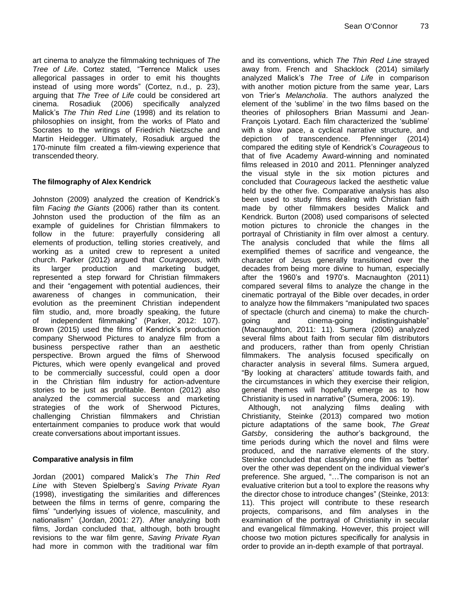art cinema to analyze the filmmaking techniques of *The Tree of Life*. Cortez stated, "Terrence Malick uses allegorical passages in order to emit his thoughts instead of using more words" (Cortez, n.d., p. 23), arguing that *The Tree of Life* could be considered art cinema. Rosadiuk (2006) specifically analyzed Malick"s *The Thin Red Line* (1998) and its relation to philosophies on insight, from the works of Plato and Socrates to the writings of Friedrich Nietzsche and Martin Heidegger. Ultimately, Rosadiuk argued the 170-minute film created a film-viewing experience that transcended theory.

#### **The filmography of Alex Kendrick**

Johnston (2009) analyzed the creation of Kendrick"s film *Facing the Giants* (2006) rather than its content. Johnston used the production of the film as an example of guidelines for Christian filmmakers to follow in the future: prayerfully considering all elements of production, telling stories creatively, and working as a united crew to represent a united church. Parker (2012) argued that *Courageous*, with its larger production and marketing budget, represented a step forward for Christian filmmakers and their "engagement with potential audiences, their awareness of changes in communication, their evolution as the preeminent Christian independent film studio, and, more broadly speaking, the future of independent filmmaking" (Parker, 2012: 107). Brown (2015) used the films of Kendrick's production company Sherwood Pictures to analyze film from a business perspective rather than an aesthetic perspective. Brown argued the films of Sherwood Pictures, which were openly evangelical and proved to be commercially successful, could open a door in the Christian film industry for action-adventure stories to be just as profitable. Benton (2012) also analyzed the commercial success and marketing strategies of the work of Sherwood Pictures, challenging Christian filmmakers and Christian entertainment companies to produce work that would create conversations about important issues.

#### **Comparative analysis in film**

Jordan (2001) compared Malick"s *The Thin Red Line* with Steven Spielberg"s *Saving Private Ryan* (1998), investigating the similarities and differences between the films in terms of genre, comparing the films" "underlying issues of violence, masculinity, and nationalism" (Jordan, 2001: 27). After analyzing both films, Jordan concluded that, although, both brought revisions to the war film genre, *Saving Private Ryan* had more in common with the traditional war film

and its conventions, which *The Thin Red Line* strayed away from. French and Shacklock (2014) similarly analyzed Malick"s *The Tree of Life* in comparison with another motion picture from the same year, Lars von Trier"s *Melancholia*. The authors analyzed the element of the "sublime" in the two films based on the theories of philosophers Brian Massumi and Jean-François Lyotard. Each film characterized the "sublime" with a slow pace, a cyclical narrative structure, and depiction of transcendence. Pfenninger (2014) compared the editing style of Kendrick"s *Courageous* to that of five Academy Award-winning and nominated films released in 2010 and 2011. Pfenninger analyzed the visual style in the six motion pictures and concluded that *Courageous* lacked the aesthetic value held by the other five. Comparative analysis has also been used to study films dealing with Christian faith made by other filmmakers besides Malick and Kendrick. Burton (2008) used comparisons of selected motion pictures to chronicle the changes in the portrayal of Christianity in film over almost a century. The analysis concluded that while the films all exemplified themes of sacrifice and vengeance, the character of Jesus generally transitioned over the decades from being more divine to human, especially after the 1960"s and 1970"s. Macnaughton (2011) compared several films to analyze the change in the cinematic portrayal of the Bible over decades, in order to analyze how the filmmakers "manipulated two spaces of spectacle (church and cinema) to make the churchgoing and cinema-going indistinguishable" (Macnaughton, 2011: 11). Sumera (2006) analyzed several films about faith from secular film distributors and producers, rather than from openly Christian filmmakers. The analysis focused specifically on character analysis in several films. Sumera argued, "By looking at characters" attitude towards faith, and the circumstances in which they exercise their religion, general themes will hopefully emerge as to how Christianity is used in narrative" (Sumera, 2006: 19).

Although, not analyzing films dealing with Christianity, Steinke (2013) compared two motion picture adaptations of the same book, *The Great Gatsby*, considering the author"s background, the time periods during which the novel and films were produced, and the narrative elements of the story. Steinke concluded that classifying one film as "better" over the other was dependent on the individual viewer"s preference. She argued, "…The comparison is not an evaluative criterion but a tool to explore the reasons why the director chose to introduce changes" (Steinke, 2013: 11). This project will contribute to these research projects, comparisons, and film analyses in the examination of the portrayal of Christianity in secular and evangelical filmmaking. However, this project will choose two motion pictures specifically for analysis in order to provide an in-depth example of that portrayal.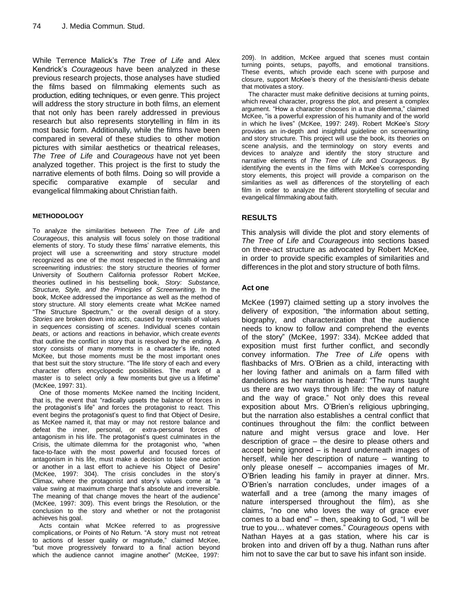While Terrence Malick"s *The Tree of Life* and Alex Kendrick"s *Courageous* have been analyzed in these previous research projects, those analyses have studied the films based on filmmaking elements such as production, editing techniques, or even genre. This project will address the story structure in both films, an element that not only has been rarely addressed in previous research but also represents storytelling in film in its most basic form. Additionally, while the films have been compared in several of these studies to other motion pictures with similar aesthetics or theatrical releases, *The Tree of Life* and *Courageous* have not yet been analyzed together. This project is the first to study the narrative elements of both films. Doing so will provide a specific comparative example of secular and evangelical filmmaking about Christian faith.

#### **METHODOLOGY**

To analyze the similarities between *The Tree of Life* and *Courageous*, this analysis will focus solely on those traditional elements of story. To study these films' narrative elements, this project will use a screenwriting and story structure model recognized as one of the most respected in the filmmaking and screenwriting industries: the story structure theories of former University of Southern California professor Robert McKee, theories outlined in his bestselling book, *Story: Substance, Structure, Style, and the Principles of Screenwriting.* In the book, McKee addressed the importance as well as the method of story structure. All story elements create what McKee named "The Structure Spectrum," or the overall design of a story. *Stories* are broken down into *acts*, caused by reversals of values in *sequences* consisting of *scenes*. Individual scenes contain *beats*, or actions and reactions in behavior, which create *events* that outline the conflict in story that is resolved by the ending. A story consists of many moments in a character's life, noted McKee, but those moments must be the most important ones that best suit the story structure. "The life story of each and every character offers encyclopedic possibilities. The mark of a master is to select only a few moments but give us a lifetime" (McKee, 1997: 31).

One of those moments McKee named the Inciting Incident, that is, the event that "radically upsets the balance of forces in the protagonist"s life" and forces the protagonist to react. This event begins the protagonist"s quest to find that Object of Desire, as McKee named it, that may or may not restore balance and defeat the inner, personal, or extra-personal forces of antagonism in his life. The protagonist"s quest culminates in the Crisis, the ultimate dilemma for the protagonist who, "when face-to-face with the most powerful and focused forces of antagonism in his life, must make a decision to take one action or another in a last effort to achieve his Object of Desire" (McKee, 1997: 304). The crisis concludes in the story"s Climax, where the protagonist and story"s values come at "a value swing at maximum charge that"s absolute and irreversible. The meaning of that change moves the heart of the audience" (McKee, 1997: 309). This event brings the Resolution, or the conclusion to the story and whether or not the protagonist achieves his goal.

Acts contain what McKee referred to as progressive complications, or Points of No Return. "A story must not retreat to actions of lesser quality or magnitude," claimed McKee, "but move progressively forward to a final action beyond which the audience cannot imagine another" (McKee, 1997:

209). In addition, McKee argued that scenes must contain turning points, setups, payoffs, and emotional transitions. These events, which provide each scene with purpose and closure, support McKee"s theory of the thesis/anti-thesis debate that motivates a story.

The character must make definitive decisions at turning points, which reveal character, progress the plot, and present a complex argument. "How a character chooses in a true dilemma," claimed McKee, "is a powerful expression of his humanity and of the world in which he lives" (McKee, 1997: 249). Robert McKee"s *Story* provides an in-depth and insightful guideline on screenwriting and story structure. This project will use the book, its theories on scene analysis, and the terminology on story events and devices to analyze and identify the story structure and narrative elements of *The Tree of Life* and *Courageous.* By identifying the events in the films with McKee's corresponding story elements, this project will provide a comparison on the similarities as well as differences of the storytelling of each film in order to analyze the different storytelling of secular and evangelical filmmaking about faith.

#### **RESULTS**

This analysis will divide the plot and story elements of *The Tree of Life* and *Courageous* into sections based on three-act structure as advocated by Robert McKee, in order to provide specific examples of similarities and differences in the plot and story structure of both films.

#### **Act one**

McKee (1997) claimed setting up a story involves the delivery of exposition, "the information about setting, biography, and characterization that the audience needs to know to follow and comprehend the events of the story" (McKee, 1997: 334). McKee added that exposition must first further conflict, and secondly convey information. *The Tree of Life* opens with flashbacks of Mrs. O"Brien as a child, interacting with her loving father and animals on a farm filled with dandelions as her narration is heard: "The nuns taught us there are two ways through life: the way of nature and the way of grace." Not only does this reveal exposition about Mrs. O'Brien's religious upbringing, but the narration also establishes a central conflict that continues throughout the film: the conflict between nature and might versus grace and love. Her description of grace – the desire to please others and accept being ignored – is heard underneath images of herself, while her description of nature – wanting to only please oneself – accompanies images of Mr. O"Brien leading his family in prayer at dinner. Mrs. O"Brien"s narration concludes, under images of a waterfall and a tree (among the many images of nature interspersed throughout the film), as she claims, "no one who loves the way of grace ever comes to a bad end" – then, speaking to God, "I will be true to you… whatever comes." *Courageous* opens with Nathan Hayes at a gas station, where his car is broken into and driven off by a thug. Nathan runs after him not to save the car but to save his infant son inside.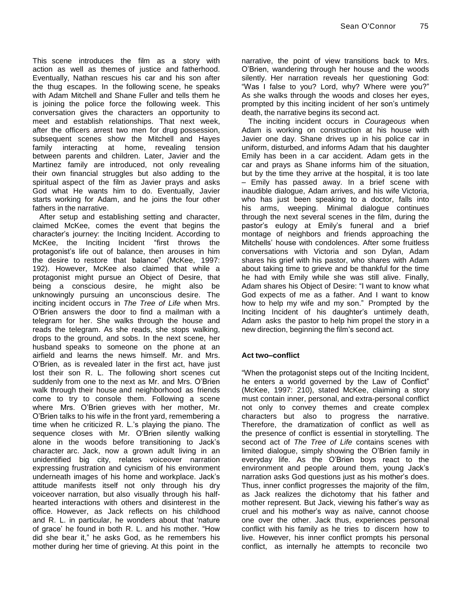This scene introduces the film as a story with action as well as themes of justice and fatherhood. Eventually, Nathan rescues his car and his son after the thug escapes. In the following scene, he speaks with Adam Mitchell and Shane Fuller and tells them he is joining the police force the following week. This conversation gives the characters an opportunity to meet and establish relationships. That next week, after the officers arrest two men for drug possession, subsequent scenes show the Mitchell and Hayes family interacting at home, revealing tension between parents and children. Later, Javier and the Martinez family are introduced, not only revealing their own financial struggles but also adding to the spiritual aspect of the film as Javier prays and asks God what He wants him to do. Eventually, Javier starts working for Adam, and he joins the four other fathers in the narrative.

After setup and establishing setting and character, claimed McKee, comes the event that begins the character"s journey: the Inciting Incident. According to McKee, the Inciting Incident "first throws the protagonist"s life out of balance, then arouses in him the desire to restore that balance" (McKee, 1997: 192). However, McKee also claimed that while a protagonist might pursue an Object of Desire, that being a conscious desire, he might also be unknowingly pursuing an unconscious desire. The inciting incident occurs in *The Tree of Life* when Mrs. O"Brien answers the door to find a mailman with a telegram for her. She walks through the house and reads the telegram. As she reads, she stops walking, drops to the ground, and sobs. In the next scene, her husband speaks to someone on the phone at an airfield and learns the news himself. Mr. and Mrs. O"Brien, as is revealed later in the first act, have just lost their son R. L. The following short scenes cut suddenly from one to the next as Mr. and Mrs. O"Brien walk through their house and neighborhood as friends come to try to console them. Following a scene where Mrs. O"Brien grieves with her mother, Mr. O"Brien talks to his wife in the front yard, remembering a time when he criticized R. L."s playing the piano. The sequence closes with Mr. O"Brien silently walking alone in the woods before transitioning to Jack"s character arc. Jack, now a grown adult living in an unidentified big city, relates voiceover narration expressing frustration and cynicism of his environment underneath images of his home and workplace. Jack"s attitude manifests itself not only through his dry voiceover narration, but also visually through his halfhearted interactions with others and disinterest in the office. However, as Jack reflects on his childhood and R. L. in particular, he wonders about that "nature of grace" he found in both R. L. and his mother. "How did she bear it," he asks God, as he remembers his mother during her time of grieving. At this point in the

narrative, the point of view transitions back to Mrs. O"Brien, wandering through her house and the woods silently. Her narration reveals her questioning God: "Was I false to you? Lord, why? Where were you?" As she walks through the woods and closes her eyes, prompted by this inciting incident of her son"s untimely death, the narrative begins its second act.

The inciting incident occurs in *Courageous* when Adam is working on construction at his house with Javier one day. Shane drives up in his police car in uniform, disturbed, and informs Adam that his daughter Emily has been in a car accident. Adam gets in the car and prays as Shane informs him of the situation, but by the time they arrive at the hospital, it is too late – Emily has passed away. In a brief scene with inaudible dialogue, Adam arrives, and his wife Victoria, who has just been speaking to a doctor, falls into his arms, weeping. Minimal dialogue continues through the next several scenes in the film, during the pastor"s eulogy at Emily"s funeral and a brief montage of neighbors and friends approaching the Mitchells" house with condolences. After some fruitless conversations with Victoria and son Dylan, Adam shares his grief with his pastor, who shares with Adam about taking time to grieve and be thankful for the time he had with Emily while she was still alive. Finally, Adam shares his Object of Desire: "I want to know what God expects of me as a father. And I want to know how to help my wife and my son." Prompted by the Inciting Incident of his daughter"s untimely death, Adam asks the pastor to help him propel the story in a new direction, beginning the film"s second act.

#### **Act two–conflict**

"When the protagonist steps out of the Inciting Incident, he enters a world governed by the Law of Conflict" (McKee, 1997: 210), stated McKee, claiming a story must contain inner, personal, and extra-personal conflict not only to convey themes and create complex characters but also to progress the narrative. Therefore, the dramatization of conflict as well as the presence of conflict is essential in storytelling. The second act of *The Tree of Life* contains scenes with limited dialogue, simply showing the O"Brien family in everyday life. As the O"Brien boys react to the environment and people around them, young Jack"s narration asks God questions just as his mother"s does. Thus, inner conflict progresses the majority of the film, as Jack realizes the dichotomy that his father and mother represent. But Jack, viewing his father"s way as cruel and his mother"s way as naïve, cannot choose one over the other. Jack thus, experiences personal conflict with his family as he tries to discern how to live. However, his inner conflict prompts his personal conflict, as internally he attempts to reconcile two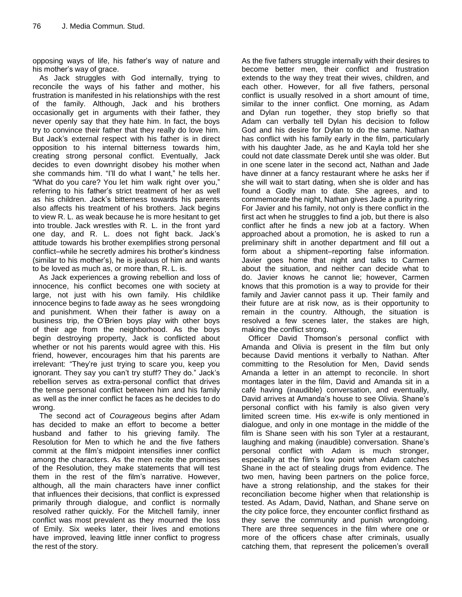opposing ways of life, his father"s way of nature and his mother"s way of grace.

As Jack struggles with God internally, trying to reconcile the ways of his father and mother, his frustration is manifested in his relationships with the rest of the family. Although, Jack and his brothers occasionally get in arguments with their father, they never openly say that they hate him. In fact, the boys try to convince their father that they really do love him. But Jack"s external respect with his father is in direct opposition to his internal bitterness towards him, creating strong personal conflict. Eventually, Jack decides to even downright disobey his mother when she commands him. "I"ll do what I want," he tells her. "What do you care? You let him walk right over you," referring to his father"s strict treatment of her as well as his children. Jack"s bitterness towards his parents also affects his treatment of his brothers. Jack begins to view R. L. as weak because he is more hesitant to get into trouble. Jack wrestles with R. L. in the front yard one day, and R. L. does not fight back. Jack"s attitude towards his brother exemplifies strong personal conflict–while he secretly admires his brother"s kindness (similar to his mother"s), he is jealous of him and wants to be loved as much as, or more than, R. L. is.

As Jack experiences a growing rebellion and loss of innocence, his conflict becomes one with society at large, not just with his own family. His childlike innocence begins to fade away as he sees wrongdoing and punishment. When their father is away on a business trip, the O"Brien boys play with other boys of their age from the neighborhood. As the boys begin destroying property, Jack is conflicted about whether or not his parents would agree with this. His friend, however, encourages him that his parents are irrelevant: "They"re just trying to scare you, keep you ignorant. They say you can't try stuff? They do." Jack's rebellion serves as extra-personal conflict that drives the tense personal conflict between him and his family as well as the inner conflict he faces as he decides to do wrong.

The second act of *Courageous* begins after Adam has decided to make an effort to become a better husband and father to his grieving family. The Resolution for Men to which he and the five fathers commit at the film"s midpoint intensifies inner conflict among the characters. As the men recite the promises of the Resolution, they make statements that will test them in the rest of the film"s narrative. However, although, all the main characters have inner conflict that influences their decisions, that conflict is expressed primarily through dialogue, and conflict is normally resolved rather quickly. For the Mitchell family, inner conflict was most prevalent as they mourned the loss of Emily. Six weeks later, their lives and emotions have improved, leaving little inner conflict to progress the rest of the story.

As the five fathers struggle internally with their desires to become better men, their conflict and frustration extends to the way they treat their wives, children, and each other. However, for all five fathers, personal conflict is usually resolved in a short amount of time, similar to the inner conflict. One morning, as Adam and Dylan run together, they stop briefly so that Adam can verbally tell Dylan his decision to follow God and his desire for Dylan to do the same. Nathan has conflict with his family early in the film, particularly with his daughter Jade, as he and Kayla told her she could not date classmate Derek until she was older. But in one scene later in the second act, Nathan and Jade have dinner at a fancy restaurant where he asks her if she will wait to start dating, when she is older and has found a Godly man to date. She agrees, and to commemorate the night, Nathan gives Jade a purity ring. For Javier and his family, not only is there conflict in the first act when he struggles to find a job, but there is also conflict after he finds a new job at a factory. When approached about a promotion, he is asked to run a preliminary shift in another department and fill out a form about a shipment–reporting false information. Javier goes home that night and talks to Carmen about the situation, and neither can decide what to do. Javier knows he cannot lie; however, Carmen knows that this promotion is a way to provide for their family and Javier cannot pass it up. Their family and their future are at risk now, as is their opportunity to remain in the country. Although, the situation is resolved a few scenes later, the stakes are high, making the conflict strong.

Officer David Thomson"s personal conflict with Amanda and Olivia is present in the film but only because David mentions it verbally to Nathan. After committing to the Resolution for Men, David sends Amanda a letter in an attempt to reconcile. In short montages later in the film, David and Amanda sit in a café having (inaudible) conversation, and eventually, David arrives at Amanda"s house to see Olivia. Shane"s personal conflict with his family is also given very limited screen time. His ex-wife is only mentioned in dialogue, and only in one montage in the middle of the film is Shane seen with his son Tyler at a restaurant, laughing and making (inaudible) conversation. Shane"s personal conflict with Adam is much stronger, especially at the film"s low point when Adam catches Shane in the act of stealing drugs from evidence. The two men, having been partners on the police force, have a strong relationship, and the stakes for their reconciliation become higher when that relationship is tested. As Adam, David, Nathan, and Shane serve on the city police force, they encounter conflict firsthand as they serve the community and punish wrongdoing. There are three sequences in the film where one or more of the officers chase after criminals, usually catching them, that represent the policemen's overall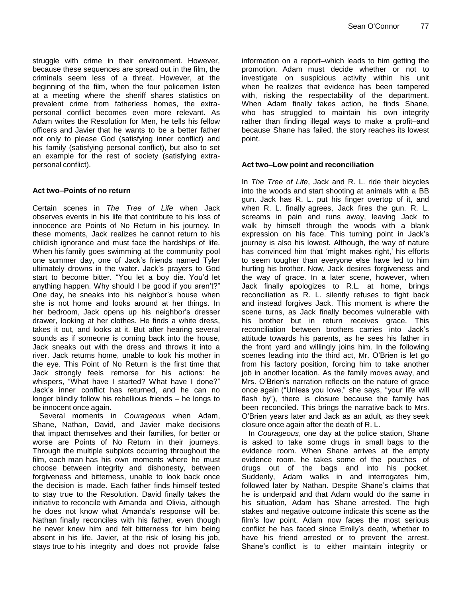struggle with crime in their environment. However, because these sequences are spread out in the film, the criminals seem less of a threat. However, at the beginning of the film, when the four policemen listen at a meeting where the sheriff shares statistics on prevalent crime from fatherless homes, the extrapersonal conflict becomes even more relevant. As Adam writes the Resolution for Men, he tells his fellow officers and Javier that he wants to be a better father not only to please God (satisfying inner conflict) and his family (satisfying personal conflict), but also to set an example for the rest of society (satisfying extrapersonal conflict).

#### **Act two–Points of no return**

Certain scenes in *The Tree of Life* when Jack observes events in his life that contribute to his loss of innocence are Points of No Return in his journey. In these moments, Jack realizes he cannot return to his childish ignorance and must face the hardships of life. When his family goes swimming at the community pool one summer day, one of Jack"s friends named Tyler ultimately drowns in the water. Jack"s prayers to God start to become bitter. "You let a boy die. You"d let anything happen. Why should I be good if you aren"t?" One day, he sneaks into his neighbor"s house when she is not home and looks around at her things. In her bedroom, Jack opens up his neighbor"s dresser drawer, looking at her clothes. He finds a white dress, takes it out, and looks at it. But after hearing several sounds as if someone is coming back into the house, Jack sneaks out with the dress and throws it into a river. Jack returns home, unable to look his mother in the eye. This Point of No Return is the first time that Jack strongly feels remorse for his actions: he whispers, "What have I started? What have I done?" Jack"s inner conflict has returned, and he can no longer blindly follow his rebellious friends – he longs to be innocent once again.

Several moments in *Courageous* when Adam, Shane, Nathan, David, and Javier make decisions that impact themselves and their families, for better or worse are Points of No Return in their journeys. Through the multiple subplots occurring throughout the film, each man has his own moments where he must choose between integrity and dishonesty, between forgiveness and bitterness, unable to look back once the decision is made. Each father finds himself tested to stay true to the Resolution. David finally takes the initiative to reconcile with Amanda and Olivia, although he does not know what Amanda"s response will be. Nathan finally reconciles with his father, even though he never knew him and felt bitterness for him being absent in his life. Javier, at the risk of losing his job, stays true to his integrity and does not provide false

information on a report–which leads to him getting the promotion. Adam must decide whether or not to investigate on suspicious activity within his unit when he realizes that evidence has been tampered with, risking the respectability of the department. When Adam finally takes action, he finds Shane, who has struggled to maintain his own integrity rather than finding illegal ways to make a profit–and because Shane has failed, the story reaches its lowest point.

#### **Act two–Low point and reconciliation**

In *The Tree of Life*, Jack and R. L. ride their bicycles into the woods and start shooting at animals with a BB gun. Jack has R. L. put his finger overtop of it, and when R. L. finally agrees, Jack fires the gun. R. L. screams in pain and runs away, leaving Jack to walk by himself through the woods with a blank expression on his face. This turning point in Jack"s journey is also his lowest. Although, the way of nature has convinced him that 'might makes right,' his efforts to seem tougher than everyone else have led to him hurting his brother. Now, Jack desires forgiveness and the way of grace. In a later scene, however, when Jack finally apologizes to R.L. at home, brings reconciliation as R. L. silently refuses to fight back and instead forgives Jack. This moment is where the scene turns, as Jack finally becomes vulnerable with his brother but in return receives grace. This reconciliation between brothers carries into Jack"s attitude towards his parents, as he sees his father in the front yard and willingly joins him. In the following scenes leading into the third act, Mr. O"Brien is let go from his factory position, forcing him to take another job in another location. As the family moves away, and Mrs. O"Brien"s narration reflects on the nature of grace once again ("Unless you love," she says, "your life will flash by"), there is closure because the family has been reconciled. This brings the narrative back to Mrs. O"Brien years later and Jack as an adult, as they seek closure once again after the death of R. L.

In *Courageous*, one day at the police station, Shane is asked to take some drugs in small bags to the evidence room. When Shane arrives at the empty evidence room, he takes some of the pouches of drugs out of the bags and into his pocket. Suddenly, Adam walks in and interrogates him, followed later by Nathan. Despite Shane's claims that he is underpaid and that Adam would do the same in his situation, Adam has Shane arrested. The high stakes and negative outcome indicate this scene as the film"s low point. Adam now faces the most serious conflict he has faced since Emily"s death, whether to have his friend arrested or to prevent the arrest. Shane"s conflict is to either maintain integrity or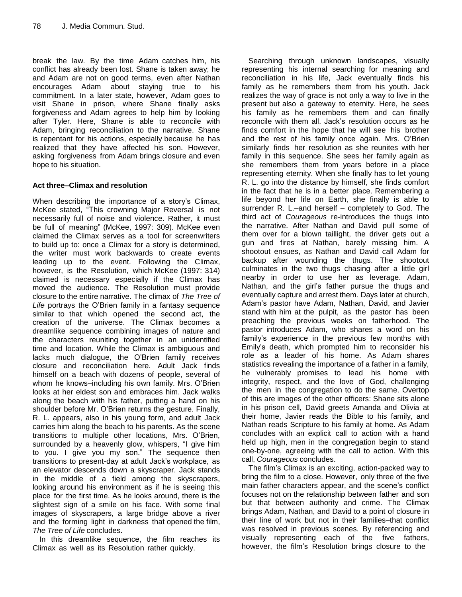break the law. By the time Adam catches him, his conflict has already been lost. Shane is taken away; he and Adam are not on good terms, even after Nathan encourages Adam about staying true to his commitment. In a later state, however, Adam goes to visit Shane in prison, where Shane finally asks forgiveness and Adam agrees to help him by looking after Tyler. Here, Shane is able to reconcile with Adam, bringing reconciliation to the narrative. Shane is repentant for his actions, especially because he has realized that they have affected his son. However, asking forgiveness from Adam brings closure and even hope to his situation.

#### **Act three–Climax and resolution**

When describing the importance of a story's Climax, McKee stated, "This crowning Major Reversal is not necessarily full of noise and violence. Rather, it must be full of meaning" (McKee, 1997: 309). McKee even claimed the Climax serves as a tool for screenwriters to build up to: once a Climax for a story is determined, the writer must work backwards to create events leading up to the event. Following the Climax, however, is the Resolution, which McKee (1997: 314) claimed is necessary especially if the Climax has moved the audience. The Resolution must provide closure to the entire narrative. The climax of *The Tree of Life* portrays the O"Brien family in a fantasy sequence similar to that which opened the second act, the creation of the universe. The Climax becomes a dreamlike sequence combining images of nature and the characters reuniting together in an unidentified time and location. While the Climax is ambiguous and lacks much dialogue, the O"Brien family receives closure and reconciliation here. Adult Jack finds himself on a beach with dozens of people, several of whom he knows–including his own family. Mrs. O"Brien looks at her eldest son and embraces him. Jack walks along the beach with his father, putting a hand on his shoulder before Mr. O"Brien returns the gesture. Finally, R. L. appears, also in his young form, and adult Jack carries him along the beach to his parents. As the scene transitions to multiple other locations, Mrs. O"Brien, surrounded by a heavenly glow, whispers, "I give him to you. I give you my son." The sequence then transitions to present-day at adult Jack"s workplace, as an elevator descends down a skyscraper. Jack stands in the middle of a field among the skyscrapers, looking around his environment as if he is seeing this place for the first time. As he looks around, there is the slightest sign of a smile on his face. With some final images of skyscrapers, a large bridge above a river and the forming light in darkness that opened the film, *The Tree of Life* concludes.

In this dreamlike sequence, the film reaches its Climax as well as its Resolution rather quickly.

Searching through unknown landscapes, visually representing his internal searching for meaning and reconciliation in his life, Jack eventually finds his family as he remembers them from his youth. Jack realizes the way of grace is not only a way to live in the present but also a gateway to eternity. Here, he sees his family as he remembers them and can finally reconcile with them all. Jack"s resolution occurs as he finds comfort in the hope that he will see his brother and the rest of his family once again. Mrs. O"Brien similarly finds her resolution as she reunites with her family in this sequence. She sees her family again as she remembers them from years before in a place representing eternity. When she finally has to let young R. L. go into the distance by himself, she finds comfort in the fact that he is in a better place. Remembering a life beyond her life on Earth, she finally is able to surrender R. L.–and herself – completely to God. The third act of *Courageous* re-introduces the thugs into the narrative. After Nathan and David pull some of them over for a blown taillight, the driver gets out a gun and fires at Nathan, barely missing him. A shootout ensues, as Nathan and David call Adam for backup after wounding the thugs. The shootout culminates in the two thugs chasing after a little girl nearby in order to use her as leverage. Adam, Nathan, and the girl"s father pursue the thugs and eventually capture and arrest them. Days later at church, Adam"s pastor have Adam, Nathan, David, and Javier stand with him at the pulpit, as the pastor has been preaching the previous weeks on fatherhood. The pastor introduces Adam, who shares a word on his family's experience in the previous few months with Emily"s death, which prompted him to reconsider his role as a leader of his home. As Adam shares statistics revealing the importance of a father in a family, he vulnerably promises to lead his home with integrity, respect, and the love of God, challenging the men in the congregation to do the same. Overtop of this are images of the other officers: Shane sits alone in his prison cell, David greets Amanda and Olivia at their home, Javier reads the Bible to his family, and Nathan reads Scripture to his family at home. As Adam concludes with an explicit call to action with a hand held up high, men in the congregation begin to stand one-by-one, agreeing with the call to action. With this call, *Courageous* concludes.

The film"s Climax is an exciting, action-packed way to bring the film to a close. However, only three of the five main father characters appear, and the scene"s conflict focuses not on the relationship between father and son but that between authority and crime. The Climax brings Adam, Nathan, and David to a point of closure in their line of work but not in their families–that conflict was resolved in previous scenes. By referencing and visually representing each of the five fathers, however, the film"s Resolution brings closure to the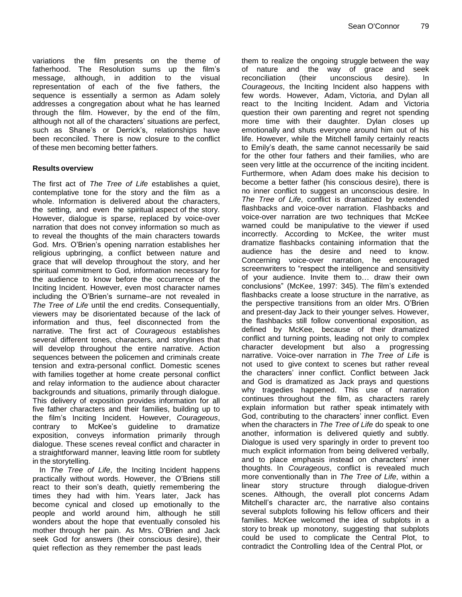variations the film presents on the theme of fatherhood. The Resolution sums up the film"s message, although, in addition to the visual representation of each of the five fathers, the sequence is essentially a sermon as Adam solely addresses a congregation about what he has learned through the film. However, by the end of the film, although not all of the characters' situations are perfect, such as Shane's or Derrick's, relationships have been reconciled. There is now closure to the conflict of these men becoming better fathers.

#### **Results overview**

The first act of *The Tree of Life* establishes a quiet, contemplative tone for the story and the film as a whole. Information is delivered about the characters, the setting, and even the spiritual aspect of the story. However, dialogue is sparse, replaced by voice-over narration that does not convey information so much as to reveal the thoughts of the main characters towards God. Mrs. O"Brien"s opening narration establishes her religious upbringing, a conflict between nature and grace that will develop throughout the story, and her spiritual commitment to God, information necessary for the audience to know before the occurrence of the Inciting Incident. However, even most character names including the O"Brien"s surname–are not revealed in *The Tree of Life* until the end credits. Consequentially, viewers may be disorientated because of the lack of information and thus, feel disconnected from the narrative. The first act of *Courageous* establishes several different tones, characters, and storylines that will develop throughout the entire narrative. Action sequences between the policemen and criminals create tension and extra-personal conflict. Domestic scenes with families together at home create personal conflict and relay information to the audience about character backgrounds and situations, primarily through dialogue. This delivery of exposition provides information for all five father characters and their families, building up to the film"s Inciting Incident. However, *Courageous*, contrary to McKee"s guideline to dramatize exposition, conveys information primarily through dialogue. These scenes reveal conflict and character in a straightforward manner, leaving little room for subtlety in the storytelling.

In *The Tree of Life*, the Inciting Incident happens practically without words. However, the O"Briens still react to their son"s death, quietly remembering the times they had with him. Years later, Jack has become cynical and closed up emotionally to the people and world around him, although he still wonders about the hope that eventually consoled his mother through her pain. As Mrs. O"Brien and Jack seek God for answers (their conscious desire), their quiet reflection as they remember the past leads

them to realize the ongoing struggle between the way of nature and the way of grace and seek reconciliation (their unconscious desire). In *Courageous*, the Inciting Incident also happens with few words. However, Adam, Victoria, and Dylan all react to the Inciting Incident. Adam and Victoria question their own parenting and regret not spending more time with their daughter. Dylan closes up emotionally and shuts everyone around him out of his life. However, while the Mitchell family certainly reacts to Emily"s death, the same cannot necessarily be said for the other four fathers and their families, who are seen very little at the occurrence of the inciting incident. Furthermore, when Adam does make his decision to become a better father (his conscious desire), there is no inner conflict to suggest an unconscious desire. In *The Tree of Life*, conflict is dramatized by extended flashbacks and voice-over narration. Flashbacks and voice-over narration are two techniques that McKee warned could be manipulative to the viewer if used incorrectly. According to McKee, the writer must dramatize flashbacks containing information that the audience has the desire and need to know. Concerning voice-over narration, he encouraged screenwriters to "respect the intelligence and sensitivity of your audience. Invite them to… draw their own conclusions" (McKee, 1997: 345). The film"s extended flashbacks create a loose structure in the narrative, as the perspective transitions from an older Mrs. O"Brien and present-day Jack to their younger selves. However, the flashbacks still follow conventional exposition, as defined by McKee, because of their dramatized conflict and turning points, leading not only to complex character development but also a progressing narrative. Voice-over narration in *The Tree of Life* is not used to give context to scenes but rather reveal the characters" inner conflict. Conflict between Jack and God is dramatized as Jack prays and questions why tragedies happened. This use of narration continues throughout the film, as characters rarely explain information but rather speak intimately with God, contributing to the characters' inner conflict. Even when the characters in *The Tree of Life* do speak to one another, information is delivered quietly and subtly. Dialogue is used very sparingly in order to prevent too much explicit information from being delivered verbally, and to place emphasis instead on characters' inner thoughts. In *Courageous*, conflict is revealed much more conventionally than in *The Tree of Life*, within a linear story structure through dialogue-driven scenes. Although, the overall plot concerns Adam Mitchell"s character arc, the narrative also contains several subplots following his fellow officers and their families. McKee welcomed the idea of subplots in a story to break up monotony, suggesting that subplots could be used to complicate the Central Plot, to contradict the Controlling Idea of the Central Plot, or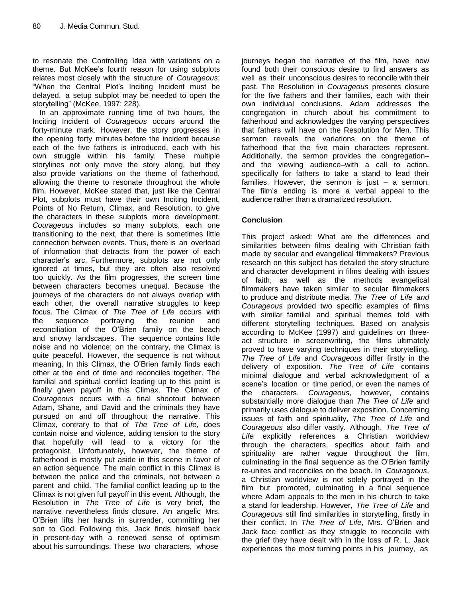to resonate the Controlling Idea with variations on a theme. But McKee"s fourth reason for using subplots relates most closely with the structure of *Courageous*: "When the Central Plot"s Inciting Incident must be delayed, a setup subplot may be needed to open the storytelling" (McKee, 1997: 228).

In an approximate running time of two hours, the Inciting Incident of *Courageous* occurs around the forty-minute mark. However, the story progresses in the opening forty minutes before the incident because each of the five fathers is introduced, each with his own struggle within his family. These multiple storylines not only move the story along, but they also provide variations on the theme of fatherhood, allowing the theme to resonate throughout the whole film. However, McKee stated that, just like the Central Plot, subplots must have their own Inciting Incident, Points of No Return, Climax, and Resolution, to give the characters in these subplots more development. *Courageous* includes so many subplots, each one transitioning to the next, that there is sometimes little connection between events. Thus, there is an overload of information that detracts from the power of each character"s arc. Furthermore, subplots are not only ignored at times, but they are often also resolved too quickly. As the film progresses, the screen time between characters becomes unequal. Because the journeys of the characters do not always overlap with each other, the overall narrative struggles to keep focus. The Climax of *The Tree of Life* occurs with the sequence portraying the reunion and reconciliation of the O"Brien family on the beach and snowy landscapes. The sequence contains little noise and no violence; on the contrary, the Climax is quite peaceful. However, the sequence is not without meaning. In this Climax, the O"Brien family finds each other at the end of time and reconciles together. The familial and spiritual conflict leading up to this point is finally given payoff in this Climax. The Climax of *Courageous* occurs with a final shootout between Adam, Shane, and David and the criminals they have pursued on and off throughout the narrative. This Climax, contrary to that of *The Tree of Life*, does contain noise and violence, adding tension to the story that hopefully will lead to a victory for the protagonist. Unfortunately, however, the theme of fatherhood is mostly put aside in this scene in favor of an action sequence. The main conflict in this Climax is between the police and the criminals, not between a parent and child. The familial conflict leading up to the Climax is not given full payoff in this event. Although, the Resolution in *The Tree of Life* is very brief, the narrative nevertheless finds closure. An angelic Mrs. O"Brien lifts her hands in surrender, committing her son to God. Following this, Jack finds himself back in present-day with a renewed sense of optimism about his surroundings. These two characters, whose

journeys began the narrative of the film, have now found both their conscious desire to find answers as well as their unconscious desires to reconcile with their past. The Resolution in *Courageous* presents closure for the five fathers and their families, each with their own individual conclusions. Adam addresses the congregation in church about his commitment to fatherhood and acknowledges the varying perspectives that fathers will have on the Resolution for Men. This sermon reveals the variations on the theme of fatherhood that the five main characters represent. Additionally, the sermon provides the congregation– and the viewing audience–with a call to action, specifically for fathers to take a stand to lead their families. However, the sermon is just – a sermon. The film"s ending is more a verbal appeal to the audience rather than a dramatized resolution.

#### **Conclusion**

This project asked: What are the differences and similarities between films dealing with Christian faith made by secular and evangelical filmmakers? Previous research on this subject has detailed the story structure and character development in films dealing with issues of faith, as well as the methods evangelical filmmakers have taken similar to secular filmmakers to produce and distribute media. *The Tree of Life and Courageous* provided two specific examples of films with similar familial and spiritual themes told with different storytelling techniques. Based on analysis according to McKee (1997) and guidelines on threeact structure in screenwriting, the films ultimately proved to have varying techniques in their storytelling. *The Tree of Life* and *Courageous* differ firstly in the delivery of exposition. *The Tree of Life* contains minimal dialogue and verbal acknowledgment of a scene's location or time period, or even the names of the characters. *Courageous*, however, contains substantially more dialogue than *The Tree of Life* and primarily uses dialogue to deliver exposition. Concerning issues of faith and spirituality, *The Tree of Life* and *Courageous* also differ vastly. Although, *The Tree of Life* explicitly references a Christian worldview through the characters, specifics about faith and spirituality are rather vague throughout the film, culminating in the final sequence as the O"Brien family re-unites and reconciles on the beach. In *Courageous*, a Christian worldview is not solely portrayed in the film but promoted, culminating in a final sequence where Adam appeals to the men in his church to take a stand for leadership. However, *The Tree of Life* and *Courageous* still find similarities in storytelling, firstly in their conflict. In *The Tree of Life*, Mrs. O"Brien and Jack face conflict as they struggle to reconcile with the grief they have dealt with in the loss of R. L. Jack experiences the most turning points in his journey, as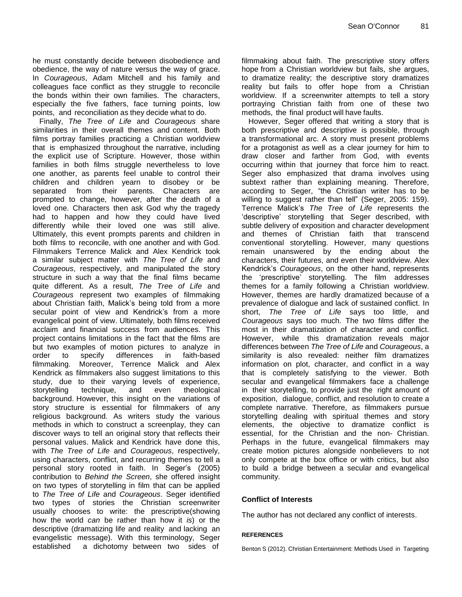he must constantly decide between disobedience and obedience, the way of nature versus the way of grace. In *Courageous*, Adam Mitchell and his family and colleagues face conflict as they struggle to reconcile the bonds within their own families. The characters, especially the five fathers, face turning points, low points, and reconciliation as they decide what to do.

Finally, *The Tree of Life* and *Courageous* share similarities in their overall themes and content. Both films portray families practicing a Christian worldview that is emphasized throughout the narrative, including the explicit use of Scripture. However, those within families in both films struggle nevertheless to love one another, as parents feel unable to control their children and children yearn to disobey or be separated from their parents. Characters are prompted to change, however, after the death of a loved one. Characters then ask God why the tragedy had to happen and how they could have lived differently while their loved one was still alive. Ultimately, this event prompts parents and children in both films to reconcile, with one another and with God. Filmmakers Terrence Malick and Alex Kendrick took a similar subject matter with *The Tree of Life* and *Courageous*, respectively, and manipulated the story structure in such a way that the final films became quite different. As a result, *The Tree of Life* and *Courageous* represent two examples of filmmaking about Christian faith, Malick"s being told from a more secular point of view and Kendrick's from a more evangelical point of view. Ultimately, both films received acclaim and financial success from audiences. This project contains limitations in the fact that the films are but two examples of motion pictures to analyze in order to specify differences in faith-based filmmaking. Moreover, Terrence Malick and Alex Kendrick as filmmakers also suggest limitations to this study, due to their varying levels of experience, storytelling technique, and even theological background. However, this insight on the variations of story structure is essential for filmmakers of any religious background. As writers study the various methods in which to construct a screenplay, they can discover ways to tell an original story that reflects their personal values. Malick and Kendrick have done this, with *The Tree of Life* and *Courageous*, respectively, using characters, conflict, and recurring themes to tell a personal story rooted in faith. In Seger's (2005) contribution to *Behind the Screen*, she offered insight on two types of storytelling in film that can be applied to *The Tree of Life* and *Courageous*. Seger identified two types of stories the Christian screenwriter usually chooses to write: the prescriptive(showing how the world *can* be rather than how it *is*) or the descriptive (dramatizing life and reality and lacking an evangelistic message). With this terminology, Seger established a dichotomy between two sides of

filmmaking about faith. The prescriptive story offers hope from a Christian worldview but fails, she argues, to dramatize reality; the descriptive story dramatizes reality but fails to offer hope from a Christian worldview. If a screenwriter attempts to tell a story portraying Christian faith from one of these two methods, the final product will have faults.

However, Seger offered that writing a story that is both prescriptive and descriptive is possible, through a transformational arc. A story must present problems for a protagonist as well as a clear journey for him to draw closer and farther from God, with events occurring within that journey that force him to react. Seger also emphasized that drama involves using subtext rather than explaining meaning. Therefore, according to Seger, "the Christian writer has to be willing to suggest rather than tell" (Seger, 2005: 159). Terrence Malick"s *The Tree of Life* represents the "descriptive" storytelling that Seger described, with subtle delivery of exposition and character development and themes of Christian faith that transcend conventional storytelling. However, many questions remain unanswered by the ending about the characters, their futures, and even their worldview. Alex Kendrick"s *Courageous*, on the other hand, represents the "prescriptive" storytelling. The film addresses themes for a family following a Christian worldview. However, themes are hardly dramatized because of a prevalence of dialogue and lack of sustained conflict. In short, *The Tree of Life* says too little, and *Courageous* says too much. The two films differ the most in their dramatization of character and conflict. However, while this dramatization reveals major differences between *The Tree of Life* and *Courageous*, a similarity is also revealed: neither film dramatizes information on plot, character, and conflict in a way that is completely satisfying to the viewer. Both secular and evangelical filmmakers face a challenge in their storytelling, to provide just the right amount of exposition, dialogue, conflict, and resolution to create a complete narrative. Therefore, as filmmakers pursue storytelling dealing with spiritual themes and story elements, the objective to dramatize conflict is essential, for the Christian and the non- Christian. Perhaps in the future, evangelical filmmakers may create motion pictures alongside nonbelievers to not only compete at the box office or with critics, but also to build a bridge between a secular and evangelical community.

#### **Conflict of Interests**

The author has not declared any conflict of interests.

#### **REFERENCES**

Benton S (2012). Christian Entertainment: Methods Used in Targeting